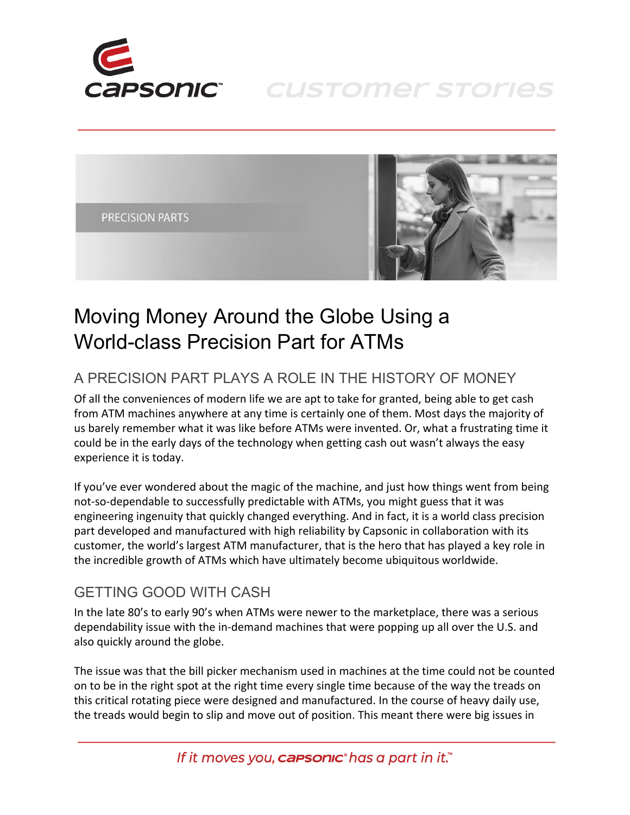

**CUSTOMER STORIES** 



## Moving Money Around the Globe Using a World-class Precision Part for ATMs

## A PRECISION PART PLAYS A ROLE IN THE HISTORY OF MONEY

Of all the conveniences of modern life we are apt to take for granted, being able to get cash from ATM machines anywhere at any time is certainly one of them. Most days the majority of us barely remember what it was like before ATMs were invented. Or, what a frustrating time it could be in the early days of the technology when getting cash out wasn't always the easy experience it is today.

If you've ever wondered about the magic of the machine, and just how things went from being not-so-dependable to successfully predictable with ATMs, you might guess that it was engineering ingenuity that quickly changed everything. And in fact, it is a world class precision part developed and manufactured with high reliability by Capsonic in collaboration with its customer, the world's largest ATM manufacturer, that is the hero that has played a key role in the incredible growth of ATMs which have ultimately become ubiquitous worldwide.

## GETTING GOOD WITH CASH

In the late 80's to early 90's when ATMs were newer to the marketplace, there was a serious dependability issue with the in-demand machines that were popping up all over the U.S. and also quickly around the globe.

The issue was that the bill picker mechanism used in machines at the time could not be counted on to be in the right spot at the right time every single time because of the way the treads on this critical rotating piece were designed and manufactured. In the course of heavy daily use, the treads would begin to slip and move out of position. This meant there were big issues in